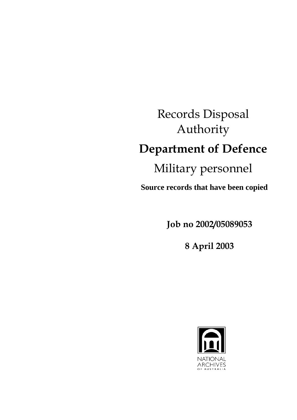# Records Disposal Authority **Department of Defence**

## Military personnel

**Source records that have been copied** 

**Job no 2002/05089053** 

**8 April 2003** 

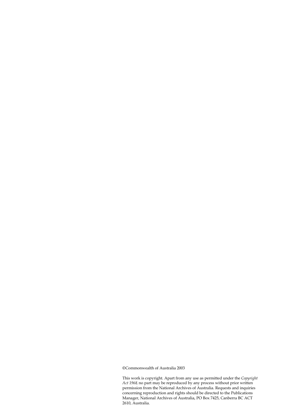©Commonwealth of Australia 2003

This work is copyright. Apart from any use as permitted under the *Copyright Act 1968,* no part may be reproduced by any process without prior written permission from the National Archives of Australia. Requests and inquiries concerning reproduction and rights should be directed to the Publications Manager, National Archives of Australia, PO Box 7425, Canberra BC ACT 2610, Australia.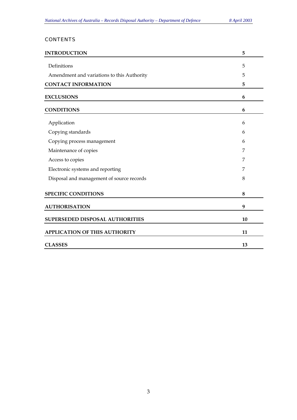#### **CONTENTS**

| <b>INTRODUCTION</b>                        | 5  |
|--------------------------------------------|----|
| Definitions                                | 5  |
| Amendment and variations to this Authority | 5  |
| <b>CONTACT INFORMATION</b>                 | 5  |
| <b>EXCLUSIONS</b>                          | 6  |
| <b>CONDITIONS</b>                          | 6  |
| Application                                | 6  |
| Copying standards                          | 6  |
| Copying process management                 | 6  |
| Maintenance of copies                      | 7  |
| Access to copies                           | 7  |
| Electronic systems and reporting           | 7  |
| Disposal and management of source records  | 8  |
| <b>SPECIFIC CONDITIONS</b>                 | 8  |
| <b>AUTHORISATION</b>                       | 9  |
| SUPERSEDED DISPOSAL AUTHORITIES            | 10 |
| <b>APPLICATION OF THIS AUTHORITY</b>       | 11 |
| <b>CLASSES</b>                             | 13 |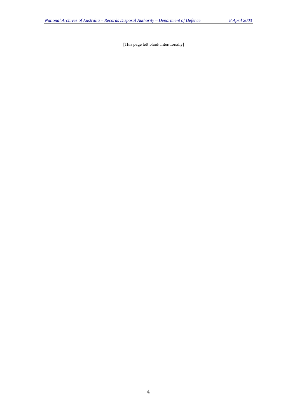[This page left blank intentionally]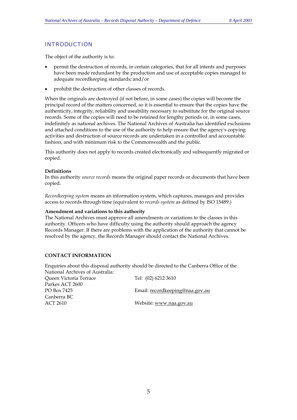#### INTRODUCTION

The object of the authority is to:

- permit the destruction of records, in certain categories, that for all intents and purposes have been made redundant by the production and use of acceptable copies managed to adequate recordkeeping standards; and/or
- prohibit the destruction of other classes of records.

When the originals are destroyed (if not before, in some cases) the copies will become the principal record of the matters concerned, so it is essential to ensure that the copies have the authenticity, integrity, reliability and useability necessary to substitute for the original source records. Some of the copies will need to be retained for lengthy periods or, in some cases, indefinitely as national archives. The National Archives of Australia has identified exclusions and attached conditions to the use of the authority to help ensure that the agency's copying activities and destruction of source records are undertaken in a controlled and accountable fashion, and with minimum risk to the Commonwealth and the public.

This authority does not apply to records created electronically and subsequently migrated or copied.

#### **Definitions**

In this authority *source records* means the original paper records or documents that have been copied.

*Recordkeeping system* means an information system, which captures, manages and provides access to records through time (equivalent to *records system* as defined by ISO 15489.)

#### **Amendment and variations to this authority**

The National Archives must approve all amendments or variations to the classes in this authority. Officers who have difficulty using the authority should approach the agency Records Manager. If there are problems with the application of the authority that cannot be resolved by the agency, the Records Manager should contact the National Archives.

#### **CONTACT INFORMATION**

Enquiries about this disposal authority should be directed to the Canberra Office of the National Archives of Australia: Queen Victoria Terrace Tel: (02) 6212 3610 Parkes ACT 2600 PO Box 7425 **Email:** recordkeeping@naa.gov.au Canberra BC ACT 2610 Website: www.naa.gov.au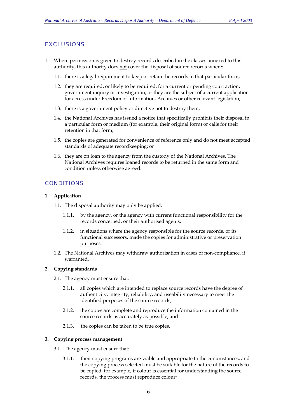#### EXCLUSIONS

- 1. Where permission is given to destroy records described in the classes annexed to this authority, this authority does not cover the disposal of source records where:
	- 1.1. there is a legal requirement to keep or retain the records in that particular form;
	- 1.2. they are required, or likely to be required, for a current or pending court action, government inquiry or investigation, or they are the subject of a current application for access under Freedom of Information, Archives or other relevant legislation;
	- 1.3. there is a government policy or directive not to destroy them;
	- 1.4. the National Archives has issued a notice that specifically prohibits their disposal in a particular form or medium (for example, their original form) or calls for their retention in that form;
	- 1.5. the copies are generated for convenience of reference only and do not meet accepted standards of adequate recordkeeping; or
	- 1.6. they are on loan to the agency from the custody of the National Archives. The National Archives requires loaned records to be returned in the same form and condition unless otherwise agreed.

#### **CONDITIONS**

#### **1. Application**

- 1.1. The disposal authority may only be applied:
	- 1.1.1. by the agency, or the agency with current functional responsibility for the records concerned, or their authorised agents;
	- 1.1.2. in situations where the agency responsible for the source records, or its functional successors, made the copies for administrative or preservation purposes.
- 1.2. The National Archives may withdraw authorisation in cases of non-compliance, if warranted.

#### **2. Copying standards**

- 2.1. The agency must ensure that:
	- 2.1.1. all copies which are intended to replace source records have the degree of authenticity, integrity, reliability, and useability necessary to meet the identified purposes of the source records;
	- 2.1.2. the copies are complete and reproduce the information contained in the source records as accurately as possible; and
	- 2.1.3. the copies can be taken to be true copies.

#### **3. Copying process management**

- 3.1. The agency must ensure that:
	- 3.1.1. their copying programs are viable and appropriate to the circumstances, and the copying process selected must be suitable for the nature of the records to be copied, for example, if colour is essential for understanding the source records, the process must reproduce colour;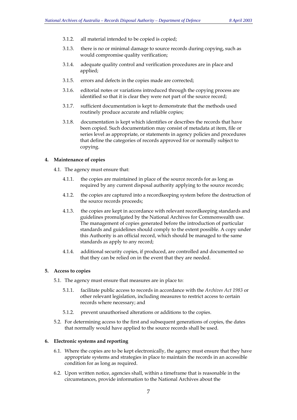- 3.1.2. all material intended to be copied is copied;
- 3.1.3. there is no or minimal damage to source records during copying, such as would compromise quality verification;
- 3.1.4. adequate quality control and verification procedures are in place and applied;
- 3.1.5. errors and defects in the copies made are corrected;
- 3.1.6. editorial notes or variations introduced through the copying process are identified so that it is clear they were not part of the source record;
- 3.1.7. sufficient documentation is kept to demonstrate that the methods used routinely produce accurate and reliable copies;
- 3.1.8. documentation is kept which identifies or describes the records that have been copied. Such documentation may consist of metadata at item, file or series level as appropriate, or statements in agency policies and procedures that define the categories of records approved for or normally subject to copying.

#### **4. Maintenance of copies**

- 4.1. The agency must ensure that:
	- 4.1.1. the copies are maintained in place of the source records for as long as required by any current disposal authority applying to the source records;
	- 4.1.2. the copies are captured into a recordkeeping system before the destruction of the source records proceeds;
	- 4.1.3. the copies are kept in accordance with relevant recordkeeping standards and guidelines promulgated by the National Archives for Commonwealth use. The management of copies generated before the introduction of particular standards and guidelines should comply to the extent possible. A copy under this Authority is an official record, which should be managed to the same standards as apply to any record;
	- 4.1.4. additional security copies, if produced, are controlled and documented so that they can be relied on in the event that they are needed.

#### **5. Access to copies**

- 5.1. The agency must ensure that measures are in place to:
	- 5.1.1. facilitate public access to records in accordance with the *Archives Act 1983* or other relevant legislation, including measures to restrict access to certain records where necessary; and
	- 5.1.2. prevent unauthorised alterations or additions to the copies.
- 5.2. For determining access to the first and subsequent generations of copies, the dates that normally would have applied to the source records shall be used.

#### **6. Electronic systems and reporting**

- 6.1. Where the copies are to be kept electronically, the agency must ensure that they have appropriate systems and strategies in place to maintain the records in an accessible condition for as long as required.
- 6.2. Upon written notice, agencies shall, within a timeframe that is reasonable in the circumstances, provide information to the National Archives about the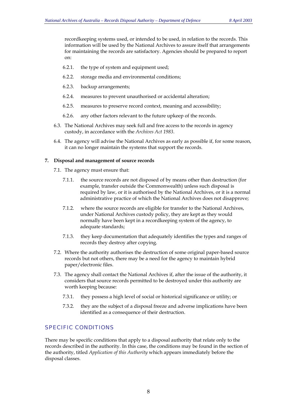recordkeeping systems used, or intended to be used, in relation to the records. This information will be used by the National Archives to assure itself that arrangements for maintaining the records are satisfactory. Agencies should be prepared to report on:

- 6.2.1. the type of system and equipment used;
- 6.2.2. storage media and environmental conditions;
- 6.2.3. backup arrangements;
- 6.2.4. measures to prevent unauthorised or accidental alteration;
- 6.2.5. measures to preserve record context, meaning and accessibility;
- 6.2.6. any other factors relevant to the future upkeep of the records.
- 6.3. The National Archives may seek full and free access to the records in agency custody, in accordance with the *Archives Act 1983*.
- 6.4. The agency will advise the National Archives as early as possible if, for some reason, it can no longer maintain the systems that support the records.

#### **7. Disposal and management of source records**

- 7.1. The agency must ensure that:
	- 7.1.1. the source records are not disposed of by means other than destruction (for example, transfer outside the Commonwealth) unless such disposal is required by law, or it is authorised by the National Archives, or it is a normal administrative practice of which the National Archives does not disapprove;
	- 7.1.2. where the source records are eligible for transfer to the National Archives, under National Archives custody policy, they are kept as they would normally have been kept in a recordkeeping system of the agency, to adequate standards;
	- 7.1.3. they keep documentation that adequately identifies the types and ranges of records they destroy after copying.
- 7.2. Where the authority authorises the destruction of some original paper-based source records but not others, there may be a need for the agency to maintain hybrid paper/electronic files.
- 7.3. The agency shall contact the National Archives if, after the issue of the authority, it considers that source records permitted to be destroyed under this authority are worth keeping because:
	- 7.3.1. they possess a high level of social or historical significance or utility; or
	- 7.3.2. they are the subject of a disposal freeze and adverse implications have been identified as a consequence of their destruction.

#### SPECIFIC CONDITIONS

There may be specific conditions that apply to a disposal authority that relate only to the records described in the authority. In this case, the conditions may be found in the section of the authority, titled *Application of this Authority* which appears immediately before the disposal classes.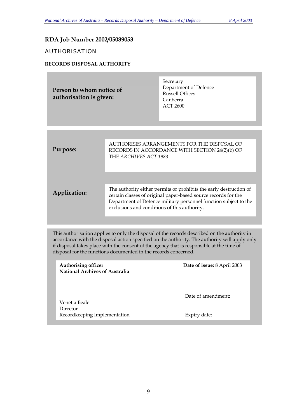#### **RDA Job Number 2002/05089053**

#### AUTHORISATION

#### **RECORDS DISPOSAL AUTHORITY**

| Person to whom notice of<br>authorisation is given: |                                                                                                                                                                                                                                                          | Secretary<br>Department of Defence<br><b>Russell Offices</b><br>Canberra<br>ACT 2600 |
|-----------------------------------------------------|----------------------------------------------------------------------------------------------------------------------------------------------------------------------------------------------------------------------------------------------------------|--------------------------------------------------------------------------------------|
|                                                     |                                                                                                                                                                                                                                                          |                                                                                      |
| Purpose:                                            | AUTHORISES ARRANGEMENTS FOR THE DISPOSAL OF<br>RECORDS IN ACCORDANCE WITH SECTION 24(2)(b) OF<br>THE ARCHIVES ACT 1983                                                                                                                                   |                                                                                      |
|                                                     |                                                                                                                                                                                                                                                          |                                                                                      |
| Application:                                        | The authority either permits or prohibits the early destruction of<br>certain classes of original paper-based source records for the<br>Department of Defence military personnel function subject to the<br>exclusions and conditions of this authority. |                                                                                      |

This authorisation applies to only the disposal of the records described on the authority in accordance with the disposal action specified on the authority. The authority will apply only if disposal takes place with the consent of the agency that is responsible at the time of disposal for the functions documented in the records concerned.

Authorising officer Date of issue: 8 April 2003 **National Archives of Australia** 

Date of amendment:

Venetia Beale Director Recordkeeping Implementation **Expiry date:**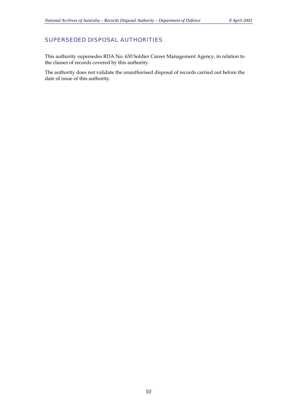#### SUPERSEDED DISPOSAL AUTHORITIES

This authority supersedes RDA No. 630 Soldier Career Management Agency, in relation to the classes of records covered by this authority.

The authority does not validate the unauthorised disposal of records carried out before the date of issue of this authority.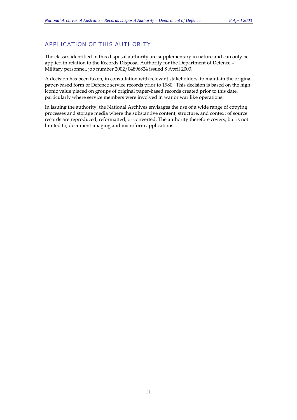#### APPLICATION OF THIS AUTHORITY

The classes identified in this disposal authority are supplementary in nature and can only be applied in relation to the Records Disposal Authority for the Department of Defence – Military personnel, job number 2002/04896824 issued 8 April 2003.

A decision has been taken, in consultation with relevant stakeholders, to maintain the original paper-based form of Defence service records prior to 1980. This decision is based on the high iconic value placed on groups of original paper-based records created prior to this date, particularly where service members were involved in war or war like operations.

In issuing the authority, the National Archives envisages the use of a wide range of copying processes and storage media where the substantive content, structure, and context of source records are reproduced, reformatted, or converted. The authority therefore covers, but is not limited to, document imaging and microform applications.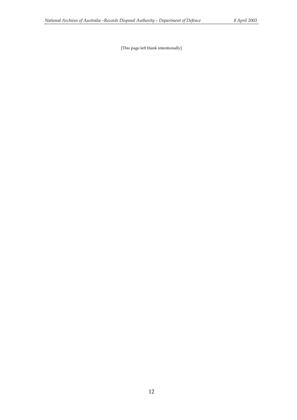[This page left blank intentionally]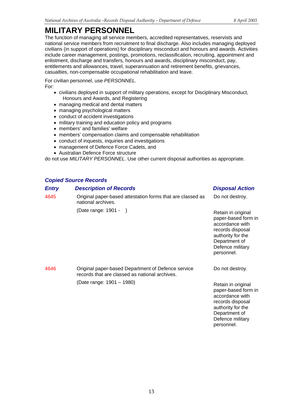personnel.

## **MILITARY PERSONNEL**

The function of managing all service members, accredited representatives, reservists and national service members from recruitment to final discharge. Also includes managing deployed civilians (in support of operations) for disciplinary misconduct and honours and awards. Activities include career management, postings, promotions, reclassification, recruiting, appointment and enlistment, discharge and transfers, honours and awards, disciplinary misconduct, pay, entitlements and allowances, travel, superannuation and retirement benefits, grievances, casualties, non-compensable occupational rehabilitation and leave.

For civilian personnel, use *PERSONNEL.*  For:

- civilians deployed in support of military operations, except for Disciplinary Misconduct, Honours and Awards, and Registering
- managing medical and dental matters
- managing psychological matters
- conduct of accident investigations
- military training and education policy and programs
- members' and families' welfare
- members' compensation claims and compensable rehabilitation
- conduct of inquests, inquiries and investigations
- management of Defence Force Cadets, and
- Australian Defence Force structure

do not use *MILITARY PERSONNEL*. Use other current disposal authorities as appropriate.

#### *Copied Source Records*

| <b>Entry</b> | <b>Description of Records</b>                                                                        | <b>Disposal Action</b>                                                                                                                                   |
|--------------|------------------------------------------------------------------------------------------------------|----------------------------------------------------------------------------------------------------------------------------------------------------------|
| 4645         | Original paper-based attestation forms that are classed as<br>national archives.                     | Do not destroy.                                                                                                                                          |
|              | (Date range: 1901 - )                                                                                | Retain in original<br>paper-based form in<br>accordance with<br>records disposal<br>authority for the<br>Department of<br>Defence military<br>personnel. |
| 4646         | Original paper-based Department of Defence service<br>records that are classed as national archives. | Do not destroy.                                                                                                                                          |
|              | (Date range: 1901 - 1980)                                                                            | Retain in original<br>paper-based form in<br>accordance with<br>records disposal<br>authority for the<br>Department of<br>Defence military               |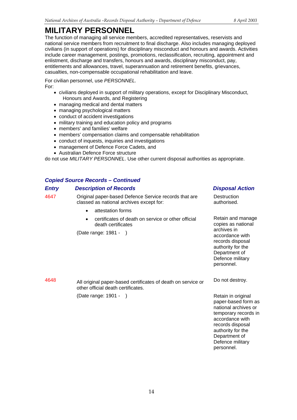## **MILITARY PERSONNEL**

The function of managing all service members, accredited representatives, reservists and national service members from recruitment to final discharge. Also includes managing deployed civilians (in support of operations) for disciplinary misconduct and honours and awards. Activities include career management, postings, promotions, reclassification, recruiting, appointment and enlistment, discharge and transfers, honours and awards, disciplinary misconduct, pay, entitlements and allowances, travel, superannuation and retirement benefits, grievances, casualties, non-compensable occupational rehabilitation and leave.

For civilian personnel, use *PERSONNEL.*  For:

- civilians deployed in support of military operations, except for Disciplinary Misconduct, Honours and Awards, and Registering
- managing medical and dental matters
- managing psychological matters
- conduct of accident investigations
- military training and education policy and programs
- members' and families' welfare
- members' compensation claims and compensable rehabilitation
- conduct of inquests, inquiries and investigations
- management of Defence Force Cadets, and
- Australian Defence Force structure

do not use *MILITARY PERSONNEL*. Use other current disposal authorities as appropriate.

#### *Copied Source Records – Continued*

#### *Entry Description of Records Disposal Action*

4647 Original paper-based Defence Service records that are classed as national archives except for:

- attestation forms
- certificates of death on service or other official death certificates

4648 All original paper-based certificates of death on service or

other official death certificates.

(Date range: 1901 - )

(Date range: 1981 - )

**Destruction** authorised.

Retain and manage copies as national archives in accordance with records disposal authority for the Department of Defence military personnel.

Do not destroy.

Retain in original paper-based form as national archives or temporary records in accordance with records disposal authority for the Department of Defence military personnel.